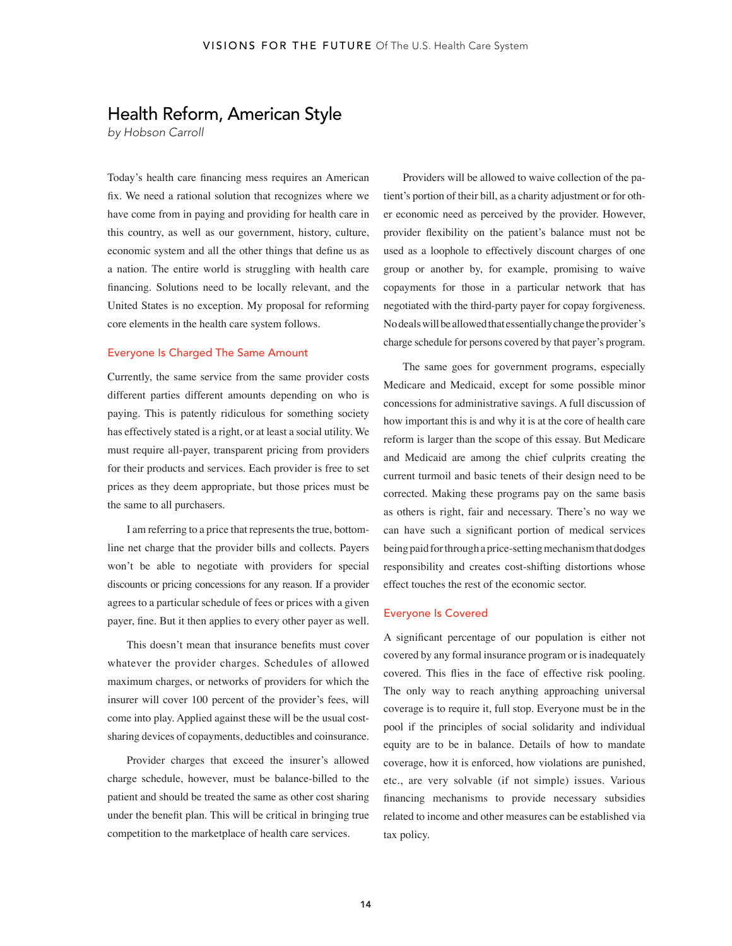# Health Reform, American Style

*by Hobson Carroll* 

Today's health care financing mess requires an American fix. We need a rational solution that recognizes where we have come from in paying and providing for health care in this country, as well as our government, history, culture, economic system and all the other things that define us as a nation. The entire world is struggling with health care financing. Solutions need to be locally relevant, and the United States is no exception. My proposal for reforming core elements in the health care system follows.

## Everyone Is Charged The Same Amount

Currently, the same service from the same provider costs different parties different amounts depending on who is paying. This is patently ridiculous for something society has effectively stated is a right, or at least a social utility. We must require all-payer, transparent pricing from providers for their products and services. Each provider is free to set prices as they deem appropriate, but those prices must be the same to all purchasers.

I am referring to a price that represents the true, bottomline net charge that the provider bills and collects. Payers won't be able to negotiate with providers for special discounts or pricing concessions for any reason. If a provider agrees to a particular schedule of fees or prices with a given payer, fine. But it then applies to every other payer as well.

This doesn't mean that insurance benefits must cover whatever the provider charges. Schedules of allowed maximum charges, or networks of providers for which the insurer will cover 100 percent of the provider's fees, will come into play. Applied against these will be the usual costsharing devices of copayments, deductibles and coinsurance.

Provider charges that exceed the insurer's allowed charge schedule, however, must be balance-billed to the patient and should be treated the same as other cost sharing under the benefit plan. This will be critical in bringing true competition to the marketplace of health care services.

Providers will be allowed to waive collection of the patient's portion of their bill, as a charity adjustment or for other economic need as perceived by the provider. However, provider flexibility on the patient's balance must not be used as a loophole to effectively discount charges of one group or another by, for example, promising to waive copayments for those in a particular network that has negotiated with the third-party payer for copay forgiveness. No deals will be allowed that essentially change the provider's charge schedule for persons covered by that payer's program.

The same goes for government programs, especially Medicare and Medicaid, except for some possible minor concessions for administrative savings. A full discussion of how important this is and why it is at the core of health care reform is larger than the scope of this essay. But Medicare and Medicaid are among the chief culprits creating the current turmoil and basic tenets of their design need to be corrected. Making these programs pay on the same basis as others is right, fair and necessary. There's no way we can have such a significant portion of medical services being paid for through a price-setting mechanism that dodges responsibility and creates cost-shifting distortions whose effect touches the rest of the economic sector.

#### Everyone Is Covered

A significant percentage of our population is either not covered by any formal insurance program or is inadequately covered. This flies in the face of effective risk pooling. The only way to reach anything approaching universal coverage is to require it, full stop. Everyone must be in the pool if the principles of social solidarity and individual equity are to be in balance. Details of how to mandate coverage, how it is enforced, how violations are punished, etc., are very solvable (if not simple) issues. Various financing mechanisms to provide necessary subsidies related to income and other measures can be established via tax policy.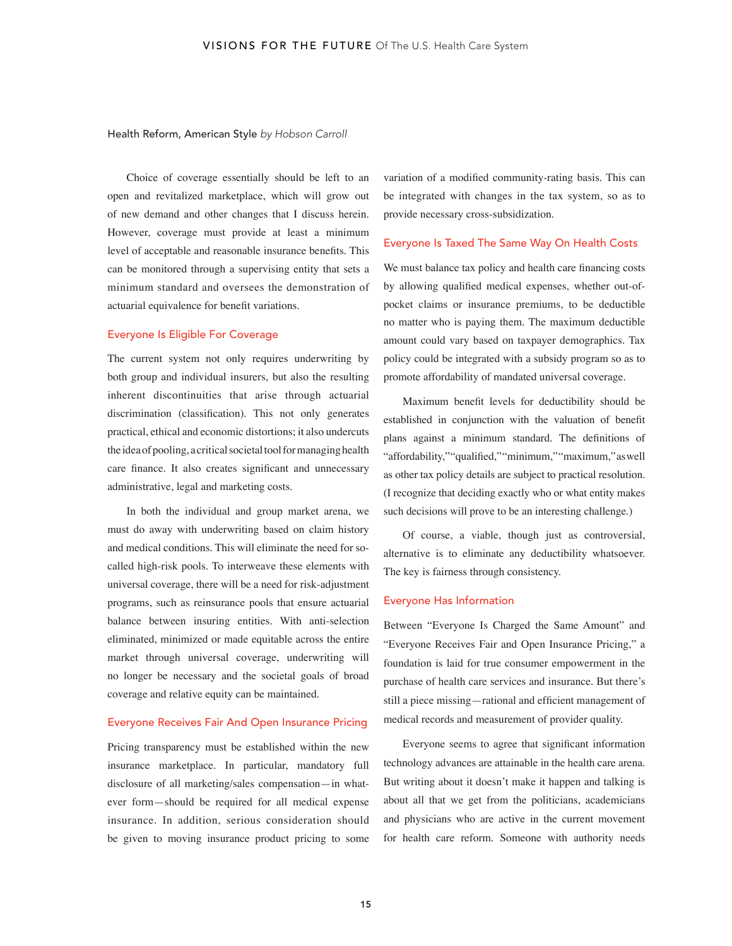#### Health Reform, American Style *by Hobson Carroll*

Choice of coverage essentially should be left to an open and revitalized marketplace, which will grow out of new demand and other changes that I discuss herein. However, coverage must provide at least a minimum level of acceptable and reasonable insurance benefits. This can be monitored through a supervising entity that sets a minimum standard and oversees the demonstration of actuarial equivalence for benefit variations.

## Everyone Is Eligible For Coverage

The current system not only requires underwriting by both group and individual insurers, but also the resulting inherent discontinuities that arise through actuarial discrimination (classification). This not only generates practical, ethical and economic distortions; it also undercuts the idea of pooling, a critical societal tool for managing health care finance. It also creates significant and unnecessary administrative, legal and marketing costs.

In both the individual and group market arena, we must do away with underwriting based on claim history and medical conditions. This will eliminate the need for socalled high-risk pools. To interweave these elements with universal coverage, there will be a need for risk-adjustment programs, such as reinsurance pools that ensure actuarial balance between insuring entities. With anti-selection eliminated, minimized or made equitable across the entire market through universal coverage, underwriting will no longer be necessary and the societal goals of broad coverage and relative equity can be maintained.

## Everyone Receives Fair And Open Insurance Pricing

Pricing transparency must be established within the new insurance marketplace. In particular, mandatory full disclosure of all marketing/sales compensation—in whatever form—should be required for all medical expense insurance. In addition, serious consideration should be given to moving insurance product pricing to some variation of a modified community-rating basis. This can be integrated with changes in the tax system, so as to provide necessary cross-subsidization.

### Everyone Is Taxed The Same Way On Health Costs

We must balance tax policy and health care financing costs by allowing qualified medical expenses, whether out-ofpocket claims or insurance premiums, to be deductible no matter who is paying them. The maximum deductible amount could vary based on taxpayer demographics. Tax policy could be integrated with a subsidy program so as to promote affordability of mandated universal coverage.

Maximum benefit levels for deductibility should be established in conjunction with the valuation of benefit plans against a minimum standard. The definitions of "affordability,""qualified,""minimum,""maximum," as well as other tax policy details are subject to practical resolution. (I recognize that deciding exactly who or what entity makes such decisions will prove to be an interesting challenge.)

Of course, a viable, though just as controversial, alternative is to eliminate any deductibility whatsoever. The key is fairness through consistency.

#### Everyone Has Information

Between "Everyone Is Charged the Same Amount" and "Everyone Receives Fair and Open Insurance Pricing," a foundation is laid for true consumer empowerment in the purchase of health care services and insurance. But there's still a piece missing—rational and efficient management of medical records and measurement of provider quality.

Everyone seems to agree that significant information technology advances are attainable in the health care arena. But writing about it doesn't make it happen and talking is about all that we get from the politicians, academicians and physicians who are active in the current movement for health care reform. Someone with authority needs